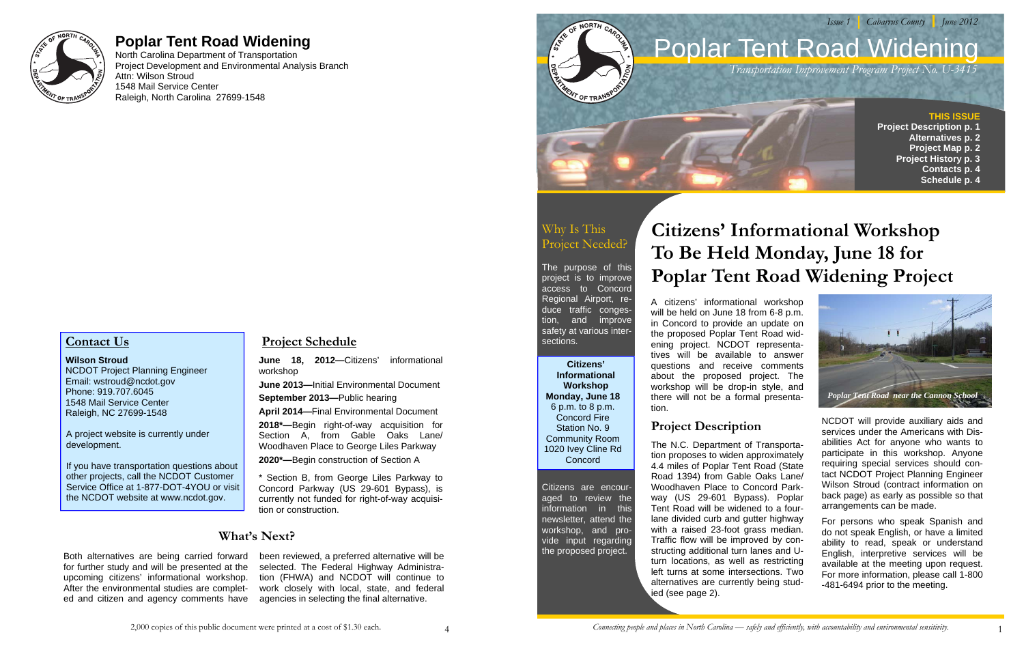

# **Poplar Tent Road Widening**

North Carolina Department of Transportation Project Development and Environmental Analysis Branch Attn: Wilson Stroud 1548 Mail Service Center Raleigh, North Carolina 27699-1548

# **Contact Us**

#### **Wilson Stroud**

NCDOT Project Planning Engineer Email: wstroud@ncdot.gov Phone: 919.707.6045 1548 Mail Service Center Raleigh, NC 27699-1548

A project website is currently under development.

If you have transportation questions about other projects, call the NCDOT Customer Service Office at 1-877-DOT-4YOU or visit the NCDOT website at www.ncdot.gov.

#### **Project Schedule**

**June 18, 2012—**Citizens' informational workshop

**June 2013—**Initial Environmental Document

**September 2013—**Public hearing

**April 2014—**Final Environmental Document

**2018\*—**Begin right-of-way acquisition for Section A, from Gable Oaks Lane/ Woodhaven Place to George Liles Parkway

**2020\*—**Begin construction of Section A

\* Section B, from George Liles Parkway to Concord Parkway (US 29-601 Bypass), is currently not funded for right-of-way acquisition or construction.

### **What's Next?**

Both alternatives are being carried forward for further study and will be presented at the upcoming citizens' informational workshop. After the environmental studies are completed and citizen and agency comments have

been reviewed, a preferred alternative will be selected. The Federal Highway Administration (FHWA) and NCDOT will continue to work closely with local, state, and federal agencies in selecting the final alternative.

**Citizens' Informational Workshop Monday, June 18** 6 p.m. to 8 p.m. Concord Fire Station No. 9 Community Room 1020 Ivey Cline Rd **Concord** 

# Why Is This Project Needed?

The purpose of this project is to improve access to Concord Regional Airport, reduce traffic congestion, and improve safety at various intersections.

Citizens are encouraged to review the information in this newsletter, attend the workshop, and provide input regarding the proposed project.

# **Citizens' Informational Workshop To Be Held Monday, June 18 for Poplar Tent Road Widening Project**



NCDOT will provide auxiliary aids and services under the Americans with Disabilities Act for anyone who wants to participate in this workshop. Anyone requiring special services should contact NCDOT Project Planning Engineer Wilson Stroud (contract information on back page) as early as possible so that arrangements can be made.

For persons who speak Spanish and do not speak English, or have a limited ability to read, speak or understand English, interpretive services will be available at the meeting upon request. For more information, please call 1-800 -481-6494 prior to the meeting.

A citizens' informational workshop will be held on June 18 from 6-8 p.m. in Concord to provide an update on the proposed Poplar Tent Road widening project. NCDOT representatives will be available to answer questions and receive comments about the proposed project. The workshop will be drop-in style, and there will not be a formal presentation.

#### **Project Description**

The N.C. Department of Transportation proposes to widen approximately 4.4 miles of Poplar Tent Road (State Road 1394) from Gable Oaks Lane/ Woodhaven Place to Concord Parkway (US 29-601 Bypass). Poplar Tent Road will be widened to a fourlane divided curb and gutter highway with a raised 23-foot grass median. Traffic flow will be improved by constructing additional turn lanes and Uturn locations, as well as restricting left turns at some intersections. Two alternatives are currently being studied (see page 2).